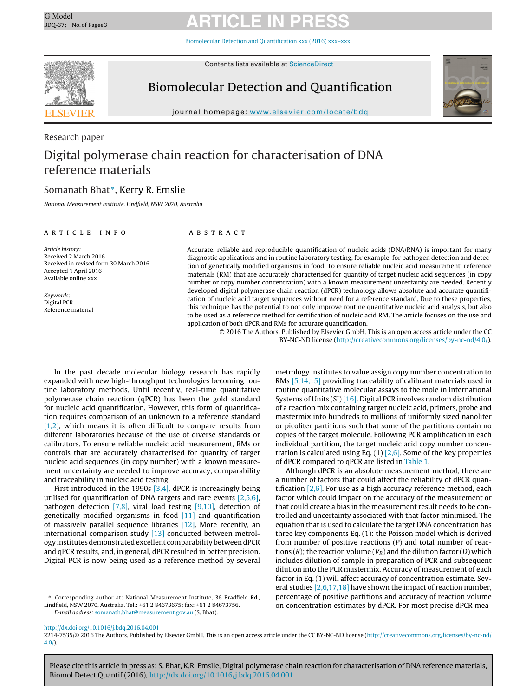# G Model G Model **ARTICLE IN PRESS**

Biomolecular Detection and [Quantification](dx.doi.org/10.1016/j.bdq.2016.04.001) xxx (2016) xxx–xxx



Contents lists available at [ScienceDirect](http://www.sciencedirect.com/science/journal/00000000)

# Biomolecular Detection and Quantification



iournal homepage: www.elsevier.com/locate/bdg

# Research paper Digital polymerase chain reaction for characterisation of DNA reference materials

# Somanath Bhat <sup>∗</sup>, Kerry R. Emslie

National Measurement Institute, Lindfield, NSW 2070, Australia

# ARTICLE INFO

Article history: Received 2 March 2016 Received in revised form 30 March 2016 Accepted 1 April 2016 Available online xxx

Keywords: Digital PCR Reference material

# a b s t r a c t

Accurate, reliable and reproducible quantification of nucleic acids (DNA/RNA) is important for many diagnostic applications and in routine laboratory testing, for example, for pathogen detection and detection of genetically modified organisms in food. To ensure reliable nucleic acid measurement, reference materials (RM) that are accurately characterised for quantity of target nucleic acid sequences (in copy number or copy number concentration) with a known measurement uncertainty are needed. Recently developed digital polymerase chain reaction (dPCR) technology allows absolute and accurate quantification of nucleic acid target sequences without need for a reference standard. Due to these properties, this technique has the potential to not only improve routine quantitative nucleic acid analysis, but also to be used as a reference method for certification of nucleic acid RM. The article focuses on the use and application of both dPCR and RMs for accurate quantification.

> © 2016 The Authors. Published by Elsevier GmbH. This is an open access article under the CC BY-NC-ND license [\(http://creativecommons.org/licenses/by-nc-nd/4.0/](http://creativecommons.org/licenses/by-nc-nd/4.0/)).

In the past decade molecular biology research has rapidly expanded with new high-throughput technologies becoming routine laboratory methods. Until recently, real-time quantitative polymerase chain reaction (qPCR) has been the gold standard for nucleic acid quantification. However, this form of quantification requires comparison of an unknown to a reference standard [\[1,2\],](#page-2-0) which means it is often difficult to compare results from different laboratories because of the use of diverse standards or calibrators. To ensure reliable nucleic acid measurement, RMs or controls that are accurately characterised for quantity of target nucleic acid sequences (in copy number) with a known measurement uncertainty are needed to improve accuracy, comparability and traceability in nucleic acid testing.

First introduced in the 1990s  $[3,4]$ , dPCR is increasingly being utilised for quantification of DNA targets and rare events [\[2,5,6\],](#page-2-0) pathogen detection  $[7,8]$ , viral load testing  $[9,10]$ , detection of genetically modified organisms in food [\[11\]](#page-2-0) and quantification of massively parallel sequence libraries [\[12\].](#page-2-0) More recently, an international comparison study [\[13\]](#page-2-0) conducted between metrology institutes demonstrated excellent comparability betweendPCR and qPCR results, and, in general, dPCR resulted in better precision. Digital PCR is now being used as a reference method by several

metrology institutes to value assign copy number concentration to RMs [\[5,14,15\]](#page-2-0) providing traceability of calibrant materials used in routine quantitative molecular assays to the mole in International Systems of Units (SI) [\[16\].](#page-2-0) Digital PCR involves random distribution of a reaction mix containing target nucleic acid, primers, probe and mastermix into hundreds to millions of uniformly sized nanoliter or picoliter partitions such that some of the partitions contain no copies of the target molecule. Following PCR amplification in each individual partition, the target nucleic acid copy number concentration is calculated using Eq.  $(1)$  [\[2,6\].](#page-2-0) Some of the key properties of dPCR compared to qPCR are listed in [Table](#page-1-0) 1.

Although dPCR is an absolute measurement method, there are a number of factors that could affect the reliability of dPCR quantification [\[2,6\].](#page-2-0) For use as a high accuracy reference method, each factor which could impact on the accuracy of the measurement or that could create a bias in the measurement result needs to be controlled and uncertainty associated with that factor minimised. The equation that is used to calculate the target DNA concentration has three key components Eq. (1): the Poisson model which is derived from number of positive reactions  $(P)$  and total number of reactions (R); the reaction volume ( $V_R$ ) and the dilution factor (D) which includes dilution of sample in preparation of PCR and subsequent dilution into the PCR mastermix. Accuracy of measurement of each factor in Eq. (1) will affect accuracy of concentration estimate. Several studies  $[2,6,17,18]$  have shown the impact of reaction number, percentage of positive partitions and accuracy of reaction volume on concentration estimates by dPCR. For most precise dPCR mea-

[http://dx.doi.org/10.1016/j.bdq.2016.04.001](dx.doi.org/10.1016/j.bdq.2016.04.001)

Please cite this article in press as: S. Bhat, K.R. Emslie, Digital polymerase chain reaction for characterisation of DNA reference materials, Biomol Detect Quantif (2016), [http://dx.doi.org/10.1016/j.bdq.2016.04.001](dx.doi.org/10.1016/j.bdq.2016.04.001)

Corresponding author at: National Measurement Institute, 36 Bradfield Rd., Lindfield, NSW 2070, Australia. Tel.: +61 2 84673675; fax: +61 2 84673756. E-mail address: [somanath.bhat@measurement.gov.au](mailto:somanath.bhat@measurement.gov.au) (S. Bhat).

<sup>2214-7535/©</sup> 2016 The Authors. Published by Elsevier GmbH. This is an open access article under the CC BY-NC-ND license ([http://creativecommons.org/licenses/by-nc-nd/](http://creativecommons.org/licenses/by-nc-nd/4.0/) [4.0/](http://creativecommons.org/licenses/by-nc-nd/4.0/)).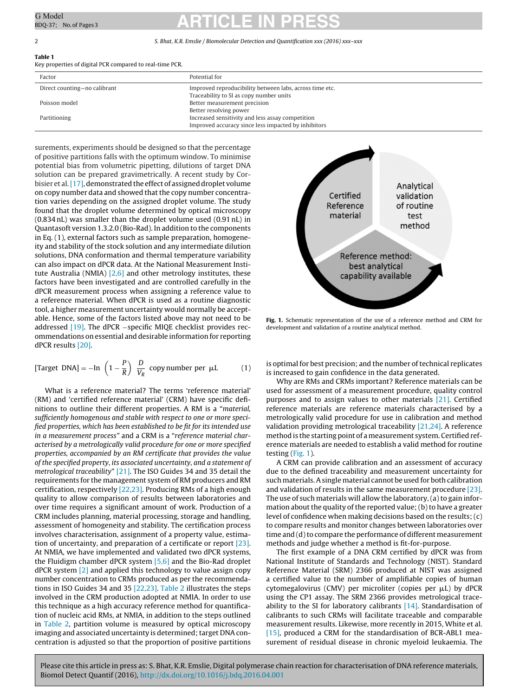# <span id="page-1-0"></span>G Model G Model **ARTICLE IN PRESS**

### 2 S. Bhat, K.R. Emslie / Biomolecular Detection and Quantification xxx (2016) xxx-xxx

# **Table 1**

Key properties of digital PCR compared to real-time PCR.

| Factor                       | Potential for                                           |
|------------------------------|---------------------------------------------------------|
| Direct counting-no calibrant | Improved reproducibility between labs, across time etc. |
|                              | Traceability to SI as copy number units                 |
| Poisson model                | Better measurement precision                            |
|                              | Better resolving power                                  |
| Partitioning                 | Increased sensitivity and less assay competition        |
|                              | Improved accuracy since less impacted by inhibitors     |

surements, experiments should be designed so that the percentage of positive partitions falls with the optimum window. To minimise potential bias from volumetric pipetting, dilutions of target DNA solution can be prepared gravimetrically. A recent study by Corbisier et al. [17], demonstrated the effect of assigned droplet volume on copy number data and showed that the copy number concentration varies depending on the assigned droplet volume. The study found that the droplet volume determined by optical microscopy (0.834 nL) was smaller than the droplet volume used (0.91 nL) in Quantasoft version 1.3.2.0 (Bio-Rad). In addition to the components in Eq. (1), external factors such as sample preparation, homogeneity and stability of the stock solution and any intermediate dilution solutions, DNA conformation and thermal temperature variability can also impact on dPCR data. At the National Measurement Institute Australia (NMIA)  $[2,6]$  and other metrology institutes, these factors have been investigated and are controlled carefully in the dPCR measurement process when assigning a reference value to a reference material. When dPCR is used as a routine diagnostic tool, a higher measurement uncertainty would normally be acceptable. Hence, some of the factors listed above may not need to be addressed [\[19\].](#page-2-0) The dPCR −specific MIQE checklist provides recommendations on essential and desirable information for reporting dPCR results [\[20\].](#page-2-0)

[Target DNA] = -In 
$$
\left(1 - \frac{P}{R}\right) \frac{D}{V_R}
$$
 copy number per  $\mu$ L (1)

What is a reference material? The terms 'reference material' (RM) and 'certified reference material' (CRM) have specific definitions to outline their different properties. A RM is a "material, sufficiently homogenous and stable with respect to one or more specified properties, which has been established to be fit for its intended use in a measurement process" and a CRM is a "reference material characterised by a metrologically valid procedure for one or more specified properties, accompanied by an RM certificate that provides the value of the specified property, its associated uncertainty, and a statement of metrological traceability" [\[21\].](#page-2-0) The ISO Guides 34 and 35 detail the requirements for the management system of RM producers and RM certification, respectively [\[22,23\].](#page-2-0) Producing RMs of a high enough quality to allow comparison of results between laboratories and over time requires a significant amount of work. Production of a CRM includes planning, material processing, storage and handling, assessment of homogeneity and stability. The certification process involves characterisation, assignment of a property value, estimation of uncertainty, and preparation of a certificate or report [\[23\].](#page-2-0) At NMIA, we have implemented and validated two dPCR systems, the Fluidigm chamber dPCR system  $[5,6]$  and the Bio-Rad droplet  $dPCR$  system  $\lceil 2 \rceil$  and applied this technology to value assign copy number concentration to CRMs produced as per the recommendations in ISO Guides 34 and 35 [\[22,23\].](#page-2-0) [Table](#page-2-0) 2 illustrates the steps involved in the CRM production adopted at NMIA. In order to use this technique as a high accuracy reference method for quantification of nucleic acid RMs, at NMIA, in addition to the steps outlined in [Table](#page-2-0) 2, partition volume is measured by optical microscopy imaging and associated uncertainty is determined; target DNA concentration is adjusted so that the proportion of positive partitions



**Fig. 1.** Schematic representation of the use of a reference method and CRM for development and validation of a routine analytical method.

is optimal for best precision; and the number of technical replicates is increased to gain confidence in the data generated.

Why are RMs and CRMs important? Reference materials can be used for assessment of a measurement procedure, quality control purposes and to assign values to other materials [\[21\].](#page-2-0) Certified reference materials are reference materials characterised by a metrologically valid procedure for use in calibration and method validation providing metrological traceability  $[21,24]$ . A reference method is the starting point of a measurement system. Certified reference materials are needed to establish a valid method for routine testing (Fig. 1).

A CRM can provide calibration and an assessment of accuracy due to the defined traceability and measurement uncertainty for such materials.Asingle material cannot be used for both calibration and validation of results in the same measurement procedure [\[23\].](#page-2-0) The use of such materials will allow the laboratory, (a) to gain information about the quality of the reported value;  $(b)$  to have a greater level of confidence when making decisions based on the results; (c) to compare results and monitor changes between laboratories over time and (d) to compare the performance of different measurement methods and judge whether a method is fit-for-purpose.

The first example of a DNA CRM certified by dPCR was from National Institute of Standards and Technology (NIST). Standard Reference Material (SRM) 2366 produced at NIST was assigned a certified value to the number of amplifiable copies of human  $cy$ tomegalovirus (CMV) per microliter (copies per  $\mu$ L) by dPCR using the CP1 assay. The SRM 2366 provides metrological traceability to the SI for laboratory calibrants  $[14]$ . Standardisation of calibrants to such CRMs will facilitate traceable and comparable measurement results. Likewise, more recently in 2015, White et al. [\[15\],](#page-2-0) produced a CRM for the standardisation of BCR-ABL1 measurement of residual disease in chronic myeloid leukaemia. The

Please cite this article in press as: S. Bhat, K.R. Emslie, Digital polymerase chain reaction for characterisation of DNA reference materials, Biomol Detect Quantif (2016), [http://dx.doi.org/10.1016/j.bdq.2016.04.001](dx.doi.org/10.1016/j.bdq.2016.04.001)